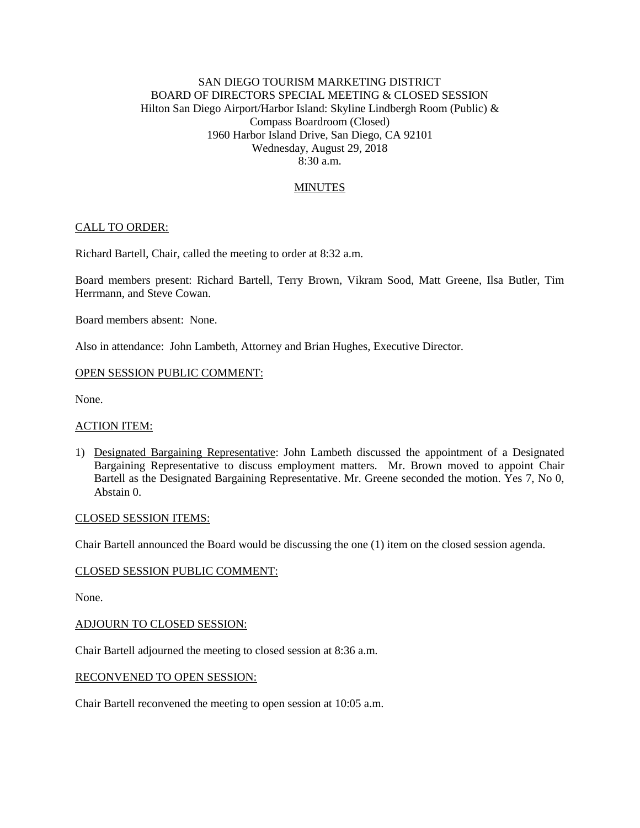# SAN DIEGO TOURISM MARKETING DISTRICT BOARD OF DIRECTORS SPECIAL MEETING & CLOSED SESSION Hilton San Diego Airport/Harbor Island: Skyline Lindbergh Room (Public) & Compass Boardroom (Closed) 1960 Harbor Island Drive, San Diego, CA 92101 Wednesday, August 29, 2018  $8.30 a m$

# MINUTES

# CALL TO ORDER:

Richard Bartell, Chair, called the meeting to order at 8:32 a.m.

Board members present: Richard Bartell, Terry Brown, Vikram Sood, Matt Greene, Ilsa Butler, Tim Herrmann, and Steve Cowan.

Board members absent: None.

Also in attendance: John Lambeth, Attorney and Brian Hughes, Executive Director.

#### OPEN SESSION PUBLIC COMMENT:

None.

#### ACTION ITEM:

1) Designated Bargaining Representative: John Lambeth discussed the appointment of a Designated Bargaining Representative to discuss employment matters. Mr. Brown moved to appoint Chair Bartell as the Designated Bargaining Representative. Mr. Greene seconded the motion. Yes 7, No 0, Abstain 0.

### CLOSED SESSION ITEMS:

Chair Bartell announced the Board would be discussing the one (1) item on the closed session agenda.

#### CLOSED SESSION PUBLIC COMMENT:

None.

#### ADJOURN TO CLOSED SESSION:

Chair Bartell adjourned the meeting to closed session at 8:36 a.m.

### RECONVENED TO OPEN SESSION:

Chair Bartell reconvened the meeting to open session at 10:05 a.m.